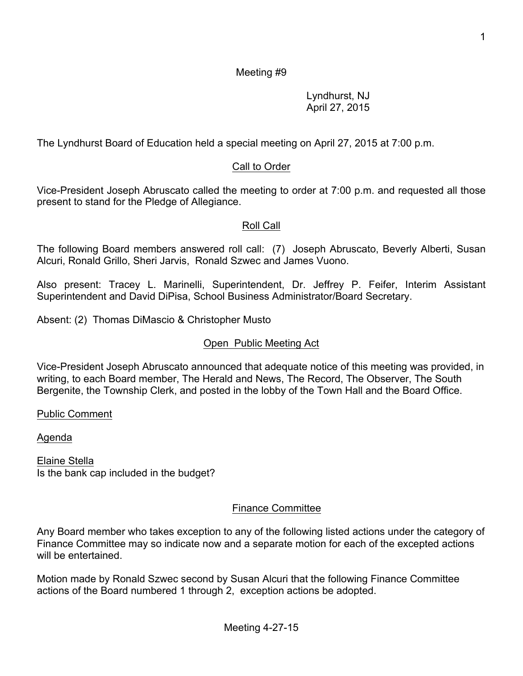Lyndhurst, NJ April 27, 2015

The Lyndhurst Board of Education held a special meeting on April 27, 2015 at 7:00 p.m.

# Call to Order

Vice-President Joseph Abruscato called the meeting to order at 7:00 p.m. and requested all those present to stand for the Pledge of Allegiance.

### Roll Call

The following Board members answered roll call: (7) Joseph Abruscato, Beverly Alberti, Susan Alcuri, Ronald Grillo, Sheri Jarvis, Ronald Szwec and James Vuono.

Also present: Tracey L. Marinelli, Superintendent, Dr. Jeffrey P. Feifer, Interim Assistant Superintendent and David DiPisa, School Business Administrator/Board Secretary.

Absent: (2) Thomas DiMascio & Christopher Musto

## Open Public Meeting Act

Vice-President Joseph Abruscato announced that adequate notice of this meeting was provided, in writing, to each Board member, The Herald and News, The Record, The Observer, The South Bergenite, the Township Clerk, and posted in the lobby of the Town Hall and the Board Office.

Public Comment

Agenda

Elaine Stella Is the bank cap included in the budget?

### Finance Committee

Any Board member who takes exception to any of the following listed actions under the category of Finance Committee may so indicate now and a separate motion for each of the excepted actions will be entertained.

Motion made by Ronald Szwec second by Susan Alcuri that the following Finance Committee actions of the Board numbered 1 through 2, exception actions be adopted.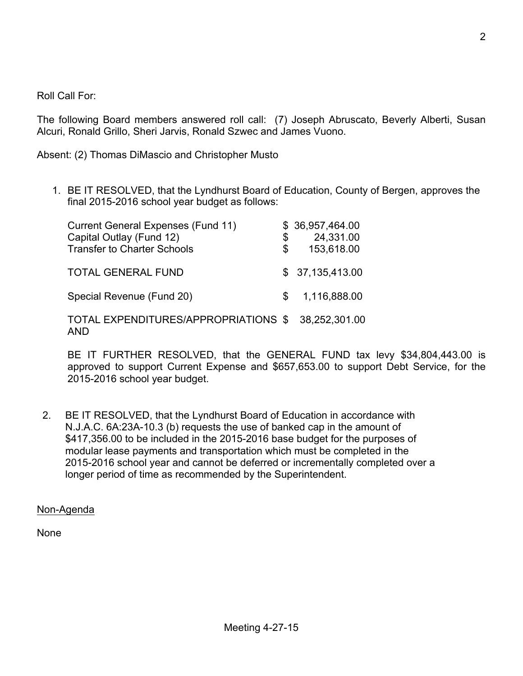Roll Call For:

The following Board members answered roll call: (7) Joseph Abruscato, Beverly Alberti, Susan Alcuri, Ronald Grillo, Sheri Jarvis, Ronald Szwec and James Vuono.

Absent: (2) Thomas DiMascio and Christopher Musto

1. BE IT RESOLVED, that the Lyndhurst Board of Education, County of Bergen, approves the final 2015-2016 school year budget as follows:

| <b>Current General Expenses (Fund 11)</b>          |     | \$36,957,464.00 |
|----------------------------------------------------|-----|-----------------|
| Capital Outlay (Fund 12)                           | \$  | 24,331.00       |
| <b>Transfer to Charter Schools</b>                 | \$. | 153,618.00      |
| <b>TOTAL GENERAL FUND</b>                          |     | \$37,135,413.00 |
| Special Revenue (Fund 20)                          | \$. | 1,116,888.00    |
| TOTAL EXPENDITURES/APPROPRIATIONS \$<br><b>AND</b> |     | 38,252,301.00   |

BE IT FURTHER RESOLVED, that the GENERAL FUND tax levy \$34,804,443.00 is approved to support Current Expense and \$657,653.00 to support Debt Service, for the 2015-2016 school year budget.

 2. BE IT RESOLVED, that the Lyndhurst Board of Education in accordance with N.J.A.C. 6A:23A-10.3 (b) requests the use of banked cap in the amount of \$417,356.00 to be included in the 2015-2016 base budget for the purposes of modular lease payments and transportation which must be completed in the 2015-2016 school year and cannot be deferred or incrementally completed over a longer period of time as recommended by the Superintendent.

Non-Agenda

None